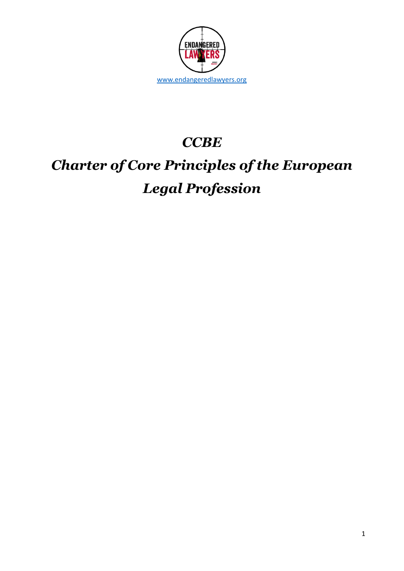

## *CCBE*

# *Charter of Core Principles of the European Legal Profession*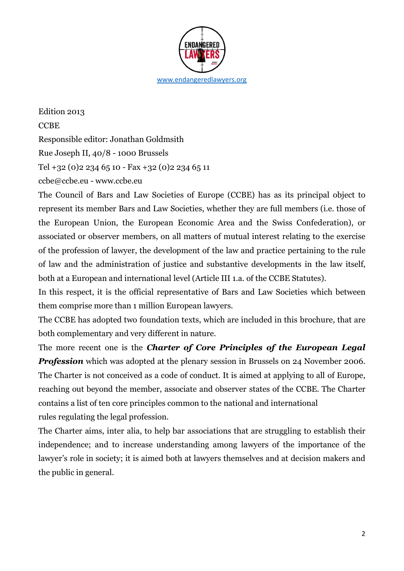

Edition 2013 **CCBE** Responsible editor: Jonathan Goldmsith Rue Joseph II, 40/8 - 1000 Brussels Tel +32 (0)2 234 65 10 - Fax +32 (0)2 234 65 11 ccbe@ccbe.eu - www.ccbe.eu

The Council of Bars and Law Societies of Europe (CCBE) has as its principal object to represent its member Bars and Law Societies, whether they are full members (i.e. those of the European Union, the European Economic Area and the Swiss Confederation), or associated or observer members, on all matters of mutual interest relating to the exercise of the profession of lawyer, the development of the law and practice pertaining to the rule of law and the administration of justice and substantive developments in the law itself, both at a European and international level (Article III 1.a. of the CCBE Statutes).

In this respect, it is the official representative of Bars and Law Societies which between them comprise more than 1 million European lawyers.

The CCBE has adopted two foundation texts, which are included in this brochure, that are both complementary and very different in nature.

The more recent one is the *Charter of Core Principles of the European Legal Profession* which was adopted at the plenary session in Brussels on 24 November 2006. The Charter is not conceived as a code of conduct. It is aimed at applying to all of Europe, reaching out beyond the member, associate and observer states of the CCBE. The Charter contains a list of ten core principles common to the national and international rules regulating the legal profession.

The Charter aims, inter alia, to help bar associations that are struggling to establish their independence; and to increase understanding among lawyers of the importance of the lawyer's role in society; it is aimed both at lawyers themselves and at decision makers and the public in general.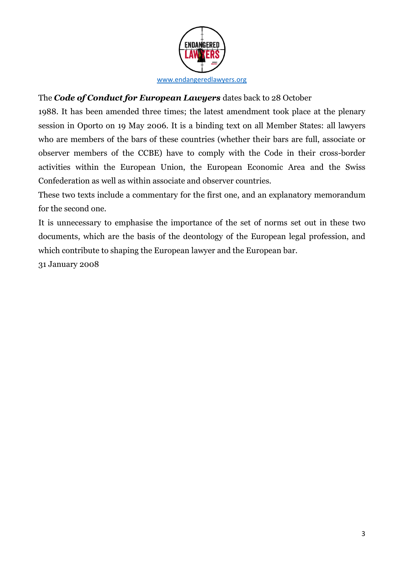

## The *Code of Conduct for European Lawyers* dates back to 28 October

1988. It has been amended three times; the latest amendment took place at the plenary session in Oporto on 19 May 2006. It is a binding text on all Member States: all lawyers who are members of the bars of these countries (whether their bars are full, associate or observer members of the CCBE) have to comply with the Code in their cross-border activities within the European Union, the European Economic Area and the Swiss Confederation as well as within associate and observer countries.

These two texts include a commentary for the first one, and an explanatory memorandum for the second one.

It is unnecessary to emphasise the importance of the set of norms set out in these two documents, which are the basis of the deontology of the European legal profession, and which contribute to shaping the European lawyer and the European bar.

31 January 2008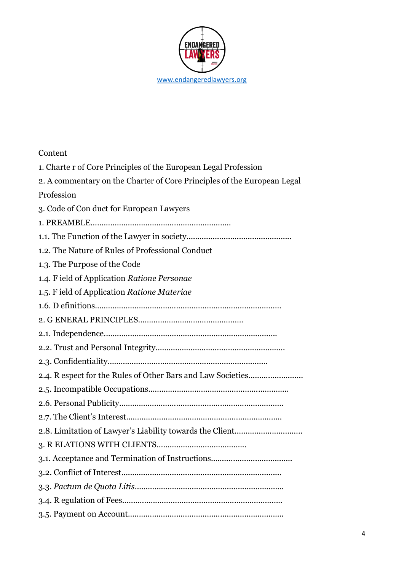

#### Content

| 1. Charte r of Core Principles of the European Legal Profession         |
|-------------------------------------------------------------------------|
| 2. A commentary on the Charter of Core Principles of the European Legal |
| Profession                                                              |
| 3. Code of Con duct for European Lawyers                                |
|                                                                         |
|                                                                         |
| 1.2. The Nature of Rules of Professional Conduct                        |
| 1.3. The Purpose of the Code                                            |
| 1.4. F ield of Application Ratione Personae                             |
| 1.5. F ield of Application Ratione Materiae                             |
|                                                                         |
|                                                                         |
|                                                                         |
|                                                                         |
|                                                                         |
|                                                                         |
|                                                                         |
|                                                                         |
|                                                                         |
|                                                                         |
|                                                                         |
|                                                                         |
|                                                                         |
|                                                                         |
|                                                                         |
|                                                                         |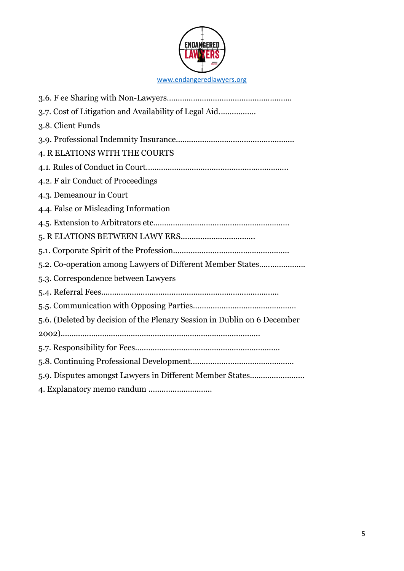

| 3.7. Cost of Litigation and Availability of Legal Aid                    |
|--------------------------------------------------------------------------|
| 3.8. Client Funds                                                        |
|                                                                          |
| 4. R ELATIONS WITH THE COURTS                                            |
|                                                                          |
| 4.2. F air Conduct of Proceedings                                        |
| 4.3. Demeanour in Court                                                  |
| 4.4. False or Misleading Information                                     |
|                                                                          |
|                                                                          |
|                                                                          |
| 5.2. Co-operation among Lawyers of Different Member States               |
| 5.3. Correspondence between Lawyers                                      |
|                                                                          |
|                                                                          |
| 5.6. (Deleted by decision of the Plenary Session in Dublin on 6 December |
|                                                                          |
|                                                                          |
|                                                                          |
| 5.9. Disputes amongst Lawyers in Different Member States                 |
|                                                                          |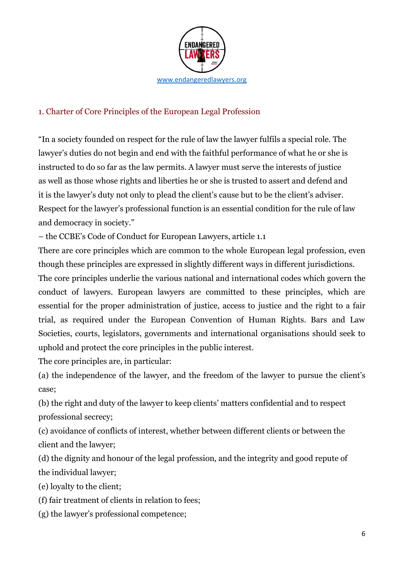

#### 1. Charter of Core Principles of the European Legal Profession

"In a society founded on respect for the rule of law the lawyer fulfils a special role. The lawyer's duties do not begin and end with the faithful performance of what he or she is instructed to do so far as the law permits. A lawyer must serve the interests of justice as well as those whose rights and liberties he or she is trusted to assert and defend and it is the lawyer's duty not only to plead the client's cause but to be the client's adviser. Respect for the lawyer's professional function is an essential condition for the rule of law and democracy in society."

– the CCBE's Code of Conduct for European Lawyers, article 1.1

There are core principles which are common to the whole European legal profession, even though these principles are expressed in slightly different ways in different jurisdictions.

The core principles underlie the various national and international codes which govern the conduct of lawyers. European lawyers are committed to these principles, which are essential for the proper administration of justice, access to justice and the right to a fair trial, as required under the European Convention of Human Rights. Bars and Law Societies, courts, legislators, governments and international organisations should seek to uphold and protect the core principles in the public interest.

The core principles are, in particular:

(a) the independence of the lawyer, and the freedom of the lawyer to pursue the client's case;

(b) the right and duty of the lawyer to keep clients' matters confidential and to respect professional secrecy;

(c) avoidance of conflicts of interest, whether between different clients or between the client and the lawyer;

(d) the dignity and honour of the legal profession, and the integrity and good repute of the individual lawyer;

(e) loyalty to the client;

(f) fair treatment of clients in relation to fees;

(g) the lawyer's professional competence;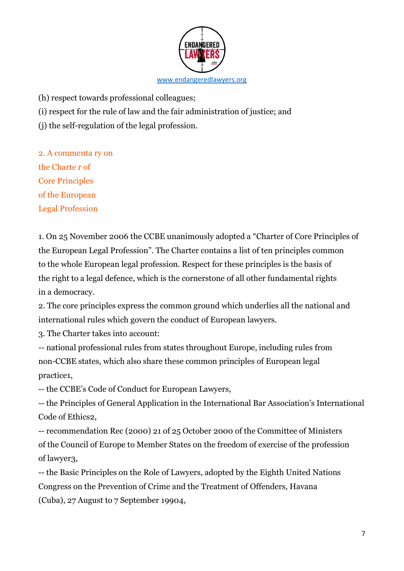

(h) respect towards professional colleagues;

(i) respect for the rule of law and the fair administration of justice; and

(j) the self-regulation of the legal profession.

2. A commenta ry on the Charte r of Core Principles of the European Legal Profession

1. On 25 November 2006 the CCBE unanimously adopted a "Charter of Core Principles of the European Legal Profession". The Charter contains a list of ten principles common to the whole European legal profession. Respect for these principles is the basis of the right to a legal defence, which is the cornerstone of all other fundamental rights in a democracy.

2. The core principles express the common ground which underlies all the national and international rules which govern the conduct of European lawyers.

3. The Charter takes into account:

-- national professional rules from states throughout Europe, including rules from non-CCBE states, which also share these common principles of European legal practice1,

-- the CCBE's Code of Conduct for European Lawyers,

-- the Principles of General Application in the International Bar Association's International Code of Ethics2,

-- recommendation Rec (2000) 21 of 25 October 2000 of the Committee of Ministers of the Council of Europe to Member States on the freedom of exercise of the profession of lawyer<sub>3</sub>,

-- the Basic Principles on the Role of Lawyers, adopted by the Eighth United Nations Congress on the Prevention of Crime and the Treatment of Offenders, Havana (Cuba), 27 August to 7 September 19904,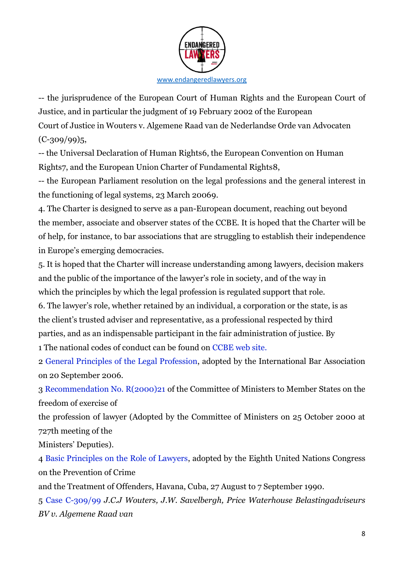

-- the jurisprudence of the European Court of Human Rights and the European Court of Justice, and in particular the judgment of 19 February 2002 of the European Court of Justice in Wouters v. Algemene Raad van de Nederlandse Orde van Advocaten  $(C-309/99)5,$ 

-- the Universal Declaration of Human Rights6, the European Convention on Human Rights7, and the European Union Charter of Fundamental Rights8,

-- the European Parliament resolution on the legal professions and the general interest in the functioning of legal systems, 23 March 20069.

4. The Charter is designed to serve as a pan-European document, reaching out beyond the member, associate and observer states of the CCBE. It is hoped that the Charter will be of help, for instance, to bar associations that are struggling to establish their independence in Europe's emerging democracies.

5. It is hoped that the Charter will increase understanding among lawyers, decision makers and the public of the importance of the lawyer's role in society, and of the way in which the principles by which the legal profession is regulated support that role.

6. The lawyer's role, whether retained by an individual, a corporation or the state, is as the client's trusted adviser and representative, as a professional respected by third parties, and as an indispensable participant in the fair administration of justice. By

1 The national codes of conduct can be found on CCBE web site.

2 General Principles of the Legal Profession, adopted by the International Bar Association on 20 September 2006.

3 Recommendation No. R(2000)21 of the Committee of Ministers to Member States on the freedom of exercise of

the profession of lawyer (Adopted by the Committee of Ministers on 25 October 2000 at 727th meeting of the

Ministers' Deputies).

4 Basic Principles on the Role of Lawyers, adopted by the Eighth United Nations Congress on the Prevention of Crime

and the Treatment of Offenders, Havana, Cuba, 27 August to 7 September 1990.

5 Case C-309/99 *J.C.J Wouters, J.W. Savelbergh, Price Waterhouse Belastingadviseurs BV v. Algemene Raad van*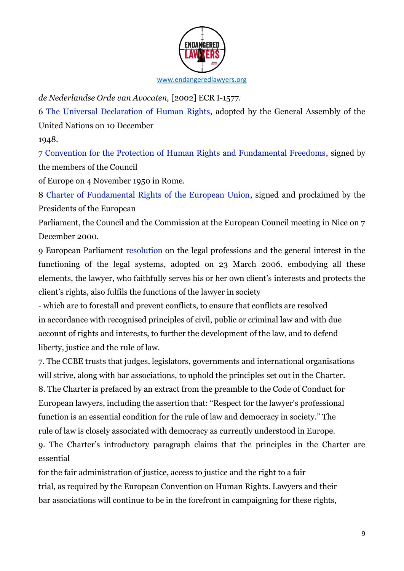

*de Nederlandse Orde van Avocaten,* [2002] ECR I-1577.

6 The Universal Declaration of Human Rights, adopted by the General Assembly of the United Nations on 10 December

1948.

7 Convention for the Protection of Human Rights and Fundamental Freedoms, signed by the members of the Council

of Europe on 4 November 1950 in Rome.

8 Charter of Fundamental Rights of the European Union, signed and proclaimed by the Presidents of the European

Parliament, the Council and the Commission at the European Council meeting in Nice on 7 December 2000.

9 European Parliament resolution on the legal professions and the general interest in the functioning of the legal systems, adopted on 23 March 2006. embodying all these elements, the lawyer, who faithfully serves his or her own client's interests and protects the client's rights, also fulfils the functions of the lawyer in society

- which are to forestall and prevent conflicts, to ensure that conflicts are resolved in accordance with recognised principles of civil, public or criminal law and with due account of rights and interests, to further the development of the law, and to defend liberty, justice and the rule of law.

7. The CCBE trusts that judges, legislators, governments and international organisations will strive, along with bar associations, to uphold the principles set out in the Charter.

8. The Charter is prefaced by an extract from the preamble to the Code of Conduct for European lawyers, including the assertion that: "Respect for the lawyer's professional function is an essential condition for the rule of law and democracy in society." The rule of law is closely associated with democracy as currently understood in Europe.

9. The Charter's introductory paragraph claims that the principles in the Charter are essential

for the fair administration of justice, access to justice and the right to a fair trial, as required by the European Convention on Human Rights. Lawyers and their bar associations will continue to be in the forefront in campaigning for these rights,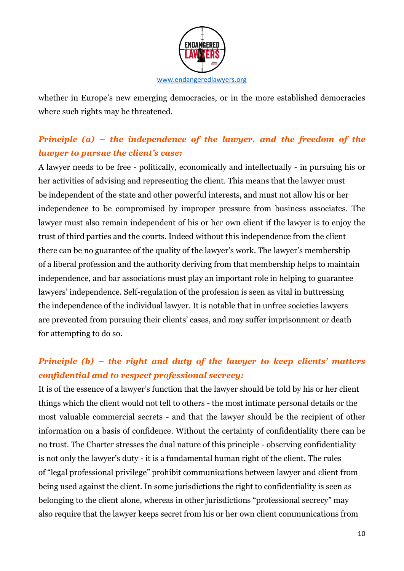

whether in Europe's new emerging democracies, or in the more established democracies where such rights may be threatened.

## *Principle (a) – the independence of the lawyer, and the freedom of the lawyer to pursue the client's case:*

A lawyer needs to be free - politically, economically and intellectually - in pursuing his or her activities of advising and representing the client. This means that the lawyer must be independent of the state and other powerful interests, and must not allow his or her independence to be compromised by improper pressure from business associates. The lawyer must also remain independent of his or her own client if the lawyer is to enjoy the trust of third parties and the courts. Indeed without this independence from the client there can be no guarantee of the quality of the lawyer's work. The lawyer's membership of a liberal profession and the authority deriving from that membership helps to maintain independence, and bar associations must play an important role in helping to guarantee lawyers' independence. Self-regulation of the profession is seen as vital in buttressing the independence of the individual lawyer. It is notable that in unfree societies lawyers are prevented from pursuing their clients' cases, and may suffer imprisonment or death for attempting to do so.

## *Principle (b) – the right and duty of the lawyer to keep clients' matters confidential and to respect professional secrecy:*

It is of the essence of a lawyer's function that the lawyer should be told by his or her client things which the client would not tell to others - the most intimate personal details or the most valuable commercial secrets - and that the lawyer should be the recipient of other information on a basis of confidence. Without the certainty of confidentiality there can be no trust. The Charter stresses the dual nature of this principle - observing confidentiality is not only the lawyer's duty - it is a fundamental human right of the client. The rules of "legal professional privilege" prohibit communications between lawyer and client from being used against the client. In some jurisdictions the right to confidentiality is seen as belonging to the client alone, whereas in other jurisdictions "professional secrecy" may also require that the lawyer keeps secret from his or her own client communications from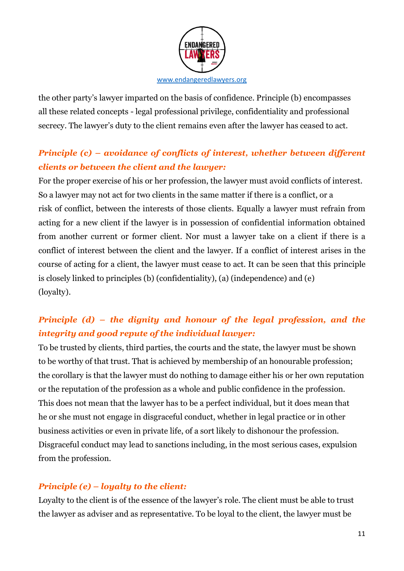

the other party's lawyer imparted on the basis of confidence. Principle (b) encompasses all these related concepts - legal professional privilege, confidentiality and professional secrecy. The lawyer's duty to the client remains even after the lawyer has ceased to act.

## *Principle (c) – avoidance of conflicts of interest, whether between different clients or between the client and the lawyer:*

For the proper exercise of his or her profession, the lawyer must avoid conflicts of interest. So a lawyer may not act for two clients in the same matter if there is a conflict, or a risk of conflict, between the interests of those clients. Equally a lawyer must refrain from acting for a new client if the lawyer is in possession of confidential information obtained from another current or former client. Nor must a lawyer take on a client if there is a conflict of interest between the client and the lawyer. If a conflict of interest arises in the course of acting for a client, the lawyer must cease to act. It can be seen that this principle is closely linked to principles (b) (confidentiality), (a) (independence) and (e) (loyalty).

## *Principle (d) – the dignity and honour of the legal profession, and the integrity and good repute of the individual lawyer:*

To be trusted by clients, third parties, the courts and the state, the lawyer must be shown to be worthy of that trust. That is achieved by membership of an honourable profession; the corollary is that the lawyer must do nothing to damage either his or her own reputation or the reputation of the profession as a whole and public confidence in the profession. This does not mean that the lawyer has to be a perfect individual, but it does mean that he or she must not engage in disgraceful conduct, whether in legal practice or in other business activities or even in private life, of a sort likely to dishonour the profession. Disgraceful conduct may lead to sanctions including, in the most serious cases, expulsion from the profession.

## *Principle (e) – loyalty to the client:*

Loyalty to the client is of the essence of the lawyer's role. The client must be able to trust the lawyer as adviser and as representative. To be loyal to the client, the lawyer must be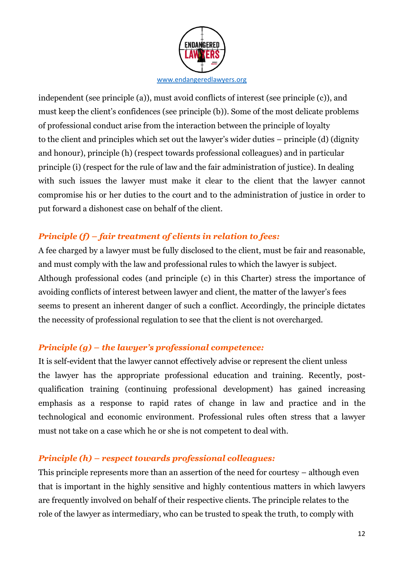

independent (see principle (a)), must avoid conflicts of interest (see principle (c)), and must keep the client's confidences (see principle (b)). Some of the most delicate problems of professional conduct arise from the interaction between the principle of loyalty to the client and principles which set out the lawyer's wider duties – principle (d) (dignity and honour), principle (h) (respect towards professional colleagues) and in particular principle (i) (respect for the rule of law and the fair administration of justice). In dealing with such issues the lawyer must make it clear to the client that the lawyer cannot compromise his or her duties to the court and to the administration of justice in order to put forward a dishonest case on behalf of the client.

#### *Principle (f) – fair treatment of clients in relation to fees:*

A fee charged by a lawyer must be fully disclosed to the client, must be fair and reasonable, and must comply with the law and professional rules to which the lawyer is subject. Although professional codes (and principle (c) in this Charter) stress the importance of avoiding conflicts of interest between lawyer and client, the matter of the lawyer's fees seems to present an inherent danger of such a conflict. Accordingly, the principle dictates the necessity of professional regulation to see that the client is not overcharged.

#### *Principle (g) – the lawyer's professional competence:*

It is self-evident that the lawyer cannot effectively advise or represent the client unless the lawyer has the appropriate professional education and training. Recently, postqualification training (continuing professional development) has gained increasing emphasis as a response to rapid rates of change in law and practice and in the technological and economic environment. Professional rules often stress that a lawyer must not take on a case which he or she is not competent to deal with.

## *Principle (h) – respect towards professional colleagues:*

This principle represents more than an assertion of the need for courtesy – although even that is important in the highly sensitive and highly contentious matters in which lawyers are frequently involved on behalf of their respective clients. The principle relates to the role of the lawyer as intermediary, who can be trusted to speak the truth, to comply with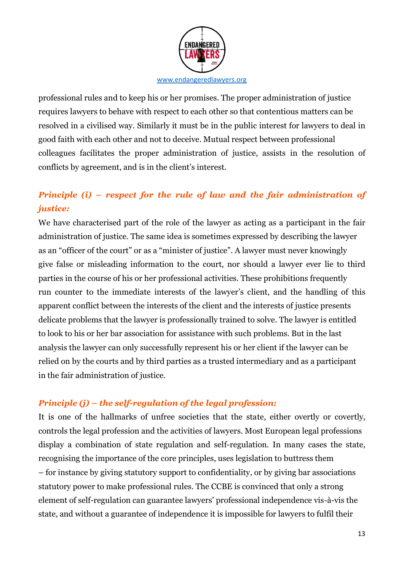

professional rules and to keep his or her promises. The proper administration of justice requires lawyers to behave with respect to each other so that contentious matters can be resolved in a civilised way. Similarly it must be in the public interest for lawyers to deal in good faith with each other and not to deceive. Mutual respect between professional colleagues facilitates the proper administration of justice, assists in the resolution of conflicts by agreement, and is in the client's interest.

## *Principle (i) – respect for the rule of law and the fair administration of justice:*

We have characterised part of the role of the lawyer as acting as a participant in the fair administration of justice. The same idea is sometimes expressed by describing the lawyer as an "officer of the court" or as a "minister of justice". A lawyer must never knowingly give false or misleading information to the court, nor should a lawyer ever lie to third parties in the course of his or her professional activities. These prohibitions frequently run counter to the immediate interests of the lawyer's client, and the handling of this apparent conflict between the interests of the client and the interests of justice presents delicate problems that the lawyer is professionally trained to solve. The lawyer is entitled to look to his or her bar association for assistance with such problems. But in the last analysis the lawyer can only successfully represent his or her client if the lawyer can be relied on by the courts and by third parties as a trusted intermediary and as a participant in the fair administration of justice.

## *Principle (j) – the self-regulation of the legal profession:*

It is one of the hallmarks of unfree societies that the state, either overtly or covertly, controls the legal profession and the activities of lawyers. Most European legal professions display a combination of state regulation and self-regulation. In many cases the state, recognising the importance of the core principles, uses legislation to buttress them – for instance by giving statutory support to confidentiality, or by giving bar associations statutory power to make professional rules. The CCBE is convinced that only a strong element of self-regulation can guarantee lawyers' professional independence vis-à-vis the state, and without a guarantee of independence it is impossible for lawyers to fulfil their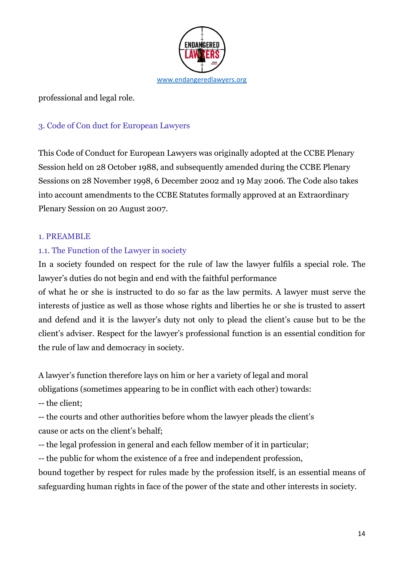

professional and legal role.

#### 3. Code of Con duct for European Lawyers

This Code of Conduct for European Lawyers was originally adopted at the CCBE Plenary Session held on 28 October 1988, and subsequently amended during the CCBE Plenary Sessions on 28 November 1998, 6 December 2002 and 19 May 2006. The Code also takes into account amendments to the CCBE Statutes formally approved at an Extraordinary Plenary Session on 20 August 2007.

#### 1. PREAMBLE

#### 1.1. The Function of the Lawyer in society

In a society founded on respect for the rule of law the lawyer fulfils a special role. The lawyer's duties do not begin and end with the faithful performance

of what he or she is instructed to do so far as the law permits. A lawyer must serve the interests of justice as well as those whose rights and liberties he or she is trusted to assert and defend and it is the lawyer's duty not only to plead the client's cause but to be the client's adviser. Respect for the lawyer's professional function is an essential condition for the rule of law and democracy in society.

A lawyer's function therefore lays on him or her a variety of legal and moral

obligations (sometimes appearing to be in conflict with each other) towards:

-- the client;

-- the courts and other authorities before whom the lawyer pleads the client's cause or acts on the client's behalf;

-- the legal profession in general and each fellow member of it in particular;

-- the public for whom the existence of a free and independent profession,

bound together by respect for rules made by the profession itself, is an essential means of safeguarding human rights in face of the power of the state and other interests in society.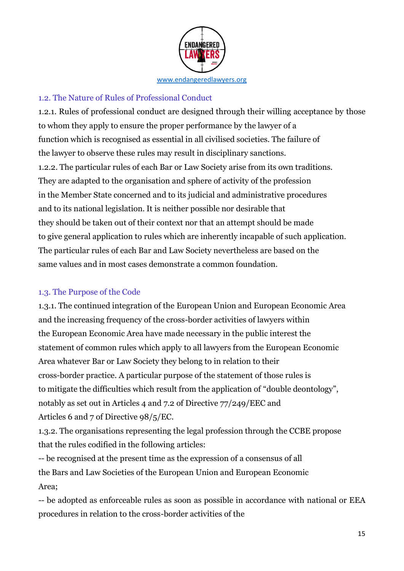

#### 1.2. The Nature of Rules of Professional Conduct

1.2.1. Rules of professional conduct are designed through their willing acceptance by those to whom they apply to ensure the proper performance by the lawyer of a function which is recognised as essential in all civilised societies. The failure of the lawyer to observe these rules may result in disciplinary sanctions. 1.2.2. The particular rules of each Bar or Law Society arise from its own traditions. They are adapted to the organisation and sphere of activity of the profession in the Member State concerned and to its judicial and administrative procedures and to its national legislation. It is neither possible nor desirable that they should be taken out of their context nor that an attempt should be made to give general application to rules which are inherently incapable of such application. The particular rules of each Bar and Law Society nevertheless are based on the same values and in most cases demonstrate a common foundation.

#### 1.3. The Purpose of the Code

1.3.1. The continued integration of the European Union and European Economic Area and the increasing frequency of the cross-border activities of lawyers within the European Economic Area have made necessary in the public interest the statement of common rules which apply to all lawyers from the European Economic Area whatever Bar or Law Society they belong to in relation to their cross-border practice. A particular purpose of the statement of those rules is to mitigate the difficulties which result from the application of "double deontology", notably as set out in Articles 4 and 7.2 of Directive 77/249/EEC and Articles 6 and 7 of Directive 98/5/EC.

1.3.2. The organisations representing the legal profession through the CCBE propose that the rules codified in the following articles:

-- be recognised at the present time as the expression of a consensus of all the Bars and Law Societies of the European Union and European Economic Area;

-- be adopted as enforceable rules as soon as possible in accordance with national or EEA procedures in relation to the cross-border activities of the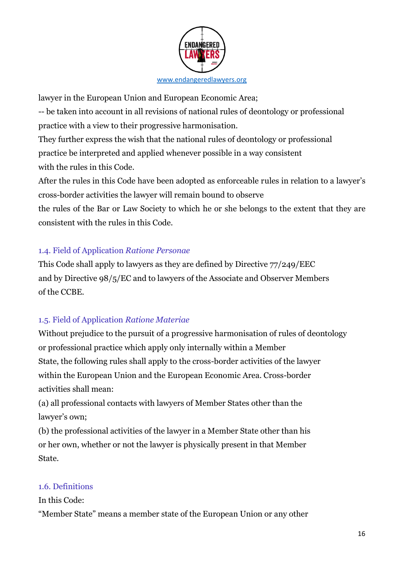

lawyer in the European Union and European Economic Area;

-- be taken into account in all revisions of national rules of deontology or professional practice with a view to their progressive harmonisation.

They further express the wish that the national rules of deontology or professional practice be interpreted and applied whenever possible in a way consistent with the rules in this Code.

After the rules in this Code have been adopted as enforceable rules in relation to a lawyer's cross-border activities the lawyer will remain bound to observe

the rules of the Bar or Law Society to which he or she belongs to the extent that they are consistent with the rules in this Code.

## 1.4. Field of Application *Ratione Personae*

This Code shall apply to lawyers as they are defined by Directive 77/249/EEC and by Directive 98/5/EC and to lawyers of the Associate and Observer Members of the CCBE.

## 1.5. Field of Application *Ratione Materiae*

Without prejudice to the pursuit of a progressive harmonisation of rules of deontology or professional practice which apply only internally within a Member State, the following rules shall apply to the cross-border activities of the lawyer within the European Union and the European Economic Area. Cross-border activities shall mean:

(a) all professional contacts with lawyers of Member States other than the lawyer's own;

(b) the professional activities of the lawyer in a Member State other than his or her own, whether or not the lawyer is physically present in that Member State.

#### 1.6. Definitions

In this Code:

"Member State" means a member state of the European Union or any other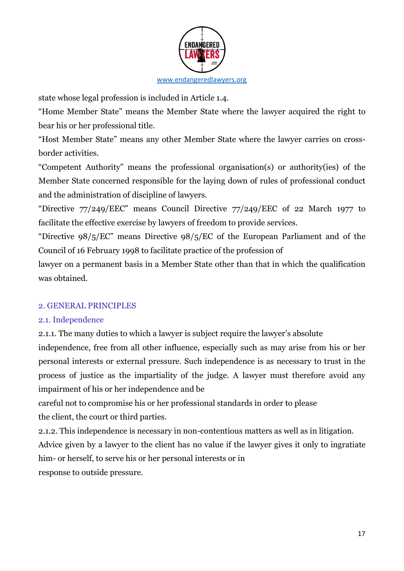

state whose legal profession is included in Article 1.4.

"Home Member State" means the Member State where the lawyer acquired the right to bear his or her professional title.

"Host Member State" means any other Member State where the lawyer carries on crossborder activities.

"Competent Authority" means the professional organisation(s) or authority(ies) of the Member State concerned responsible for the laying down of rules of professional conduct and the administration of discipline of lawyers.

"Directive  $77/249/EEC$ " means Council Directive  $77/249/EEC$  of 22 March 1977 to facilitate the effective exercise by lawyers of freedom to provide services.

"Directive  $98/5/EC$ " means Directive  $98/5/EC$  of the European Parliament and of the Council of 16 February 1998 to facilitate practice of the profession of

lawyer on a permanent basis in a Member State other than that in which the qualification was obtained.

## 2. GENERAL PRINCIPLES

#### 2.1. Independence

2.1.1. The many duties to which a lawyer is subject require the lawyer's absolute

independence, free from all other influence, especially such as may arise from his or her personal interests or external pressure. Such independence is as necessary to trust in the process of justice as the impartiality of the judge. A lawyer must therefore avoid any impairment of his or her independence and be

careful not to compromise his or her professional standards in order to please the client, the court or third parties.

2.1.2. This independence is necessary in non-contentious matters as well as in litigation. Advice given by a lawyer to the client has no value if the lawyer gives it only to ingratiate him- or herself, to serve his or her personal interests or in response to outside pressure.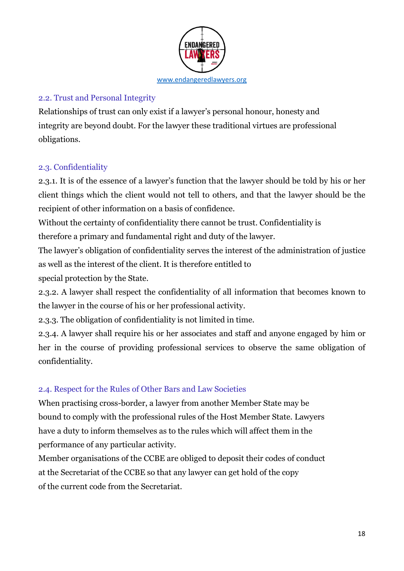

#### 2.2. Trust and Personal Integrity

Relationships of trust can only exist if a lawyer's personal honour, honesty and integrity are beyond doubt. For the lawyer these traditional virtues are professional obligations.

#### 2.3. Confidentiality

2.3.1. It is of the essence of a lawyer's function that the lawyer should be told by his or her client things which the client would not tell to others, and that the lawyer should be the recipient of other information on a basis of confidence.

Without the certainty of confidentiality there cannot be trust. Confidentiality is

therefore a primary and fundamental right and duty of the lawyer.

The lawyer's obligation of confidentiality serves the interest of the administration of justice as well as the interest of the client. It is therefore entitled to

special protection by the State.

2.3.2. A lawyer shall respect the confidentiality of all information that becomes known to the lawyer in the course of his or her professional activity.

2.3.3. The obligation of confidentiality is not limited in time.

2.3.4. A lawyer shall require his or her associates and staff and anyone engaged by him or her in the course of providing professional services to observe the same obligation of confidentiality.

## 2.4. Respect for the Rules of Other Bars and Law Societies

When practising cross-border, a lawyer from another Member State may be bound to comply with the professional rules of the Host Member State. Lawyers have a duty to inform themselves as to the rules which will affect them in the performance of any particular activity.

Member organisations of the CCBE are obliged to deposit their codes of conduct at the Secretariat of the CCBE so that any lawyer can get hold of the copy of the current code from the Secretariat.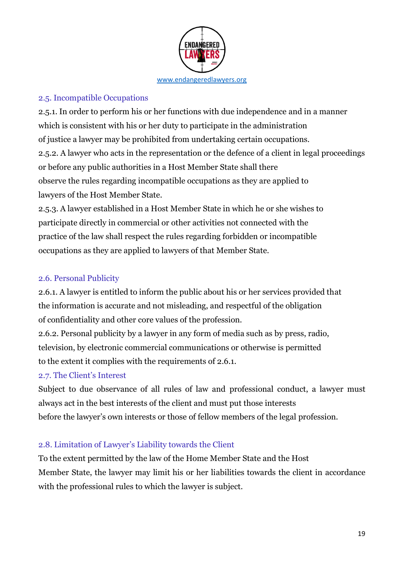

#### 2.5. Incompatible Occupations

2.5.1. In order to perform his or her functions with due independence and in a manner which is consistent with his or her duty to participate in the administration of justice a lawyer may be prohibited from undertaking certain occupations. 2.5.2. A lawyer who acts in the representation or the defence of a client in legal proceedings or before any public authorities in a Host Member State shall there observe the rules regarding incompatible occupations as they are applied to lawyers of the Host Member State.

2.5.3. A lawyer established in a Host Member State in which he or she wishes to participate directly in commercial or other activities not connected with the practice of the law shall respect the rules regarding forbidden or incompatible occupations as they are applied to lawyers of that Member State.

#### 2.6. Personal Publicity

2.6.1. A lawyer is entitled to inform the public about his or her services provided that the information is accurate and not misleading, and respectful of the obligation of confidentiality and other core values of the profession.

2.6.2. Personal publicity by a lawyer in any form of media such as by press, radio, television, by electronic commercial communications or otherwise is permitted to the extent it complies with the requirements of 2.6.1.

#### 2.7. The Client's Interest

Subject to due observance of all rules of law and professional conduct, a lawyer must always act in the best interests of the client and must put those interests before the lawyer's own interests or those of fellow members of the legal profession.

#### 2.8. Limitation of Lawyer's Liability towards the Client

To the extent permitted by the law of the Home Member State and the Host Member State, the lawyer may limit his or her liabilities towards the client in accordance with the professional rules to which the lawyer is subject.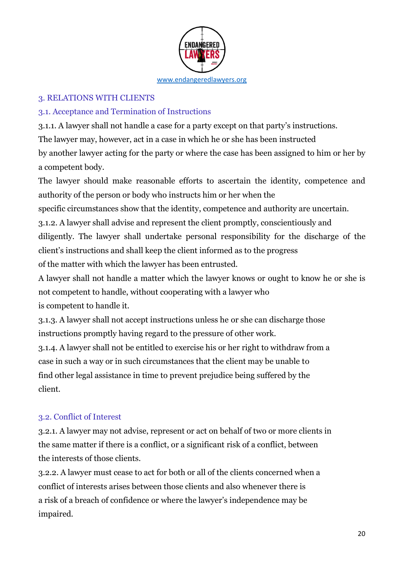

#### 3. RELATIONS WITH CLIENTS

#### 3.1. Acceptance and Termination of Instructions

3.1.1. A lawyer shall not handle a case for a party except on that party's instructions. The lawyer may, however, act in a case in which he or she has been instructed by another lawyer acting for the party or where the case has been assigned to him or her by

a competent body.

The lawyer should make reasonable efforts to ascertain the identity, competence and authority of the person or body who instructs him or her when the

specific circumstances show that the identity, competence and authority are uncertain.

3.1.2. A lawyer shall advise and represent the client promptly, conscientiously and diligently. The lawyer shall undertake personal responsibility for the discharge of the client's instructions and shall keep the client informed as to the progress of the matter with which the lawyer has been entrusted.

A lawyer shall not handle a matter which the lawyer knows or ought to know he or she is not competent to handle, without cooperating with a lawyer who is competent to handle it.

3.1.3. A lawyer shall not accept instructions unless he or she can discharge those instructions promptly having regard to the pressure of other work.

3.1.4. A lawyer shall not be entitled to exercise his or her right to withdraw from a case in such a way or in such circumstances that the client may be unable to find other legal assistance in time to prevent prejudice being suffered by the client.

#### 3.2. Conflict of Interest

3.2.1. A lawyer may not advise, represent or act on behalf of two or more clients in the same matter if there is a conflict, or a significant risk of a conflict, between the interests of those clients.

3.2.2. A lawyer must cease to act for both or all of the clients concerned when a conflict of interests arises between those clients and also whenever there is a risk of a breach of confidence or where the lawyer's independence may be impaired.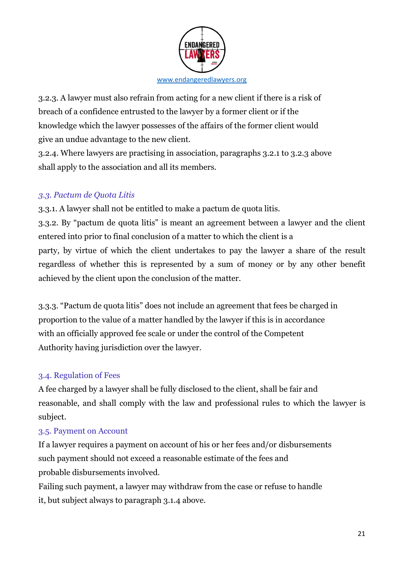

3.2.3. A lawyer must also refrain from acting for a new client if there is a risk of breach of a confidence entrusted to the lawyer by a former client or if the knowledge which the lawyer possesses of the affairs of the former client would give an undue advantage to the new client.

3.2.4. Where lawyers are practising in association, paragraphs 3.2.1 to 3.2.3 above shall apply to the association and all its members.

## *3.3. Pactum de Quota Litis*

3.3.1. A lawyer shall not be entitled to make a pactum de quota litis.

3.3.2. By "pactum de quota litis" is meant an agreement between a lawyer and the client entered into prior to final conclusion of a matter to which the client is a party, by virtue of which the client undertakes to pay the lawyer a share of the result regardless of whether this is represented by a sum of money or by any other benefit achieved by the client upon the conclusion of the matter.

3.3.3. "Pactum de quota litis" does not include an agreement that fees be charged in proportion to the value of a matter handled by the lawyer if this is in accordance with an officially approved fee scale or under the control of the Competent Authority having jurisdiction over the lawyer.

## 3.4. Regulation of Fees

A fee charged by a lawyer shall be fully disclosed to the client, shall be fair and reasonable, and shall comply with the law and professional rules to which the lawyer is subject.

## 3.5. Payment on Account

If a lawyer requires a payment on account of his or her fees and/or disbursements such payment should not exceed a reasonable estimate of the fees and probable disbursements involved.

Failing such payment, a lawyer may withdraw from the case or refuse to handle it, but subject always to paragraph 3.1.4 above.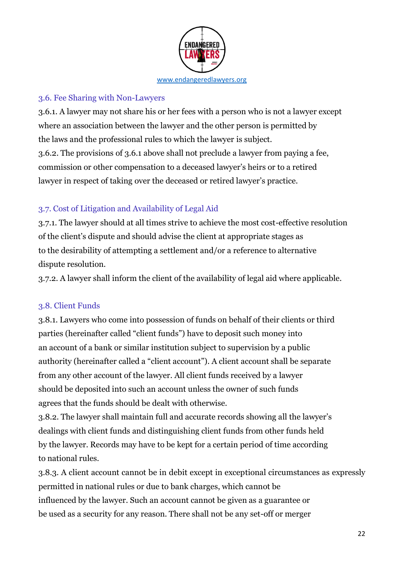

#### 3.6. Fee Sharing with Non-Lawyers

3.6.1. A lawyer may not share his or her fees with a person who is not a lawyer except where an association between the lawyer and the other person is permitted by the laws and the professional rules to which the lawyer is subject. 3.6.2. The provisions of 3.6.1 above shall not preclude a lawyer from paying a fee, commission or other compensation to a deceased lawyer's heirs or to a retired lawyer in respect of taking over the deceased or retired lawyer's practice.

## 3.7. Cost of Litigation and Availability of Legal Aid

3.7.1. The lawyer should at all times strive to achieve the most cost-effective resolution of the client's dispute and should advise the client at appropriate stages as to the desirability of attempting a settlement and/or a reference to alternative dispute resolution.

3.7.2. A lawyer shall inform the client of the availability of legal aid where applicable.

## 3.8. Client Funds

3.8.1. Lawyers who come into possession of funds on behalf of their clients or third parties (hereinafter called "client funds") have to deposit such money into an account of a bank or similar institution subject to supervision by a public authority (hereinafter called a "client account"). A client account shall be separate from any other account of the lawyer. All client funds received by a lawyer should be deposited into such an account unless the owner of such funds agrees that the funds should be dealt with otherwise.

3.8.2. The lawyer shall maintain full and accurate records showing all the lawyer's dealings with client funds and distinguishing client funds from other funds held by the lawyer. Records may have to be kept for a certain period of time according to national rules.

3.8.3. A client account cannot be in debit except in exceptional circumstances as expressly permitted in national rules or due to bank charges, which cannot be influenced by the lawyer. Such an account cannot be given as a guarantee or be used as a security for any reason. There shall not be any set-off or merger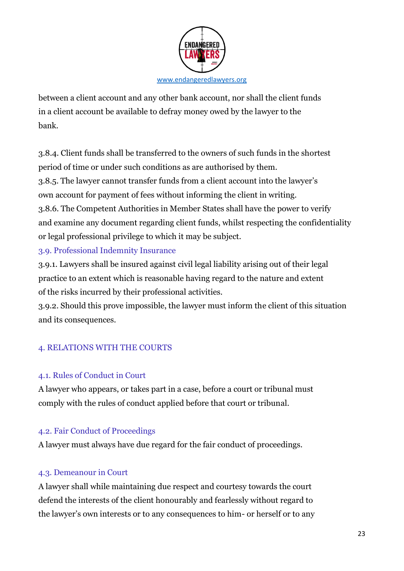

between a client account and any other bank account, nor shall the client funds in a client account be available to defray money owed by the lawyer to the bank.

3.8.4. Client funds shall be transferred to the owners of such funds in the shortest period of time or under such conditions as are authorised by them.

3.8.5. The lawyer cannot transfer funds from a client account into the lawyer's own account for payment of fees without informing the client in writing.

3.8.6. The Competent Authorities in Member States shall have the power to verify and examine any document regarding client funds, whilst respecting the confidentiality or legal professional privilege to which it may be subject.

## 3.9. Professional Indemnity Insurance

3.9.1. Lawyers shall be insured against civil legal liability arising out of their legal practice to an extent which is reasonable having regard to the nature and extent of the risks incurred by their professional activities.

3.9.2. Should this prove impossible, the lawyer must inform the client of this situation and its consequences.

## 4. RELATIONS WITH THE COURTS

## 4.1. Rules of Conduct in Court

A lawyer who appears, or takes part in a case, before a court or tribunal must comply with the rules of conduct applied before that court or tribunal.

## 4.2. Fair Conduct of Proceedings

A lawyer must always have due regard for the fair conduct of proceedings.

## 4.3. Demeanour in Court

A lawyer shall while maintaining due respect and courtesy towards the court defend the interests of the client honourably and fearlessly without regard to the lawyer's own interests or to any consequences to him- or herself or to any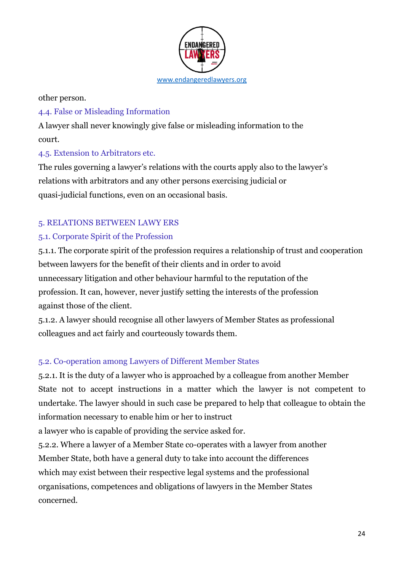

other person.

#### 4.4. False or Misleading Information

A lawyer shall never knowingly give false or misleading information to the court.

#### 4.5. Extension to Arbitrators etc.

The rules governing a lawyer's relations with the courts apply also to the lawyer's relations with arbitrators and any other persons exercising judicial or quasi-judicial functions, even on an occasional basis.

#### 5. RELATIONS BETWEEN LAWY ERS

#### 5.1. Corporate Spirit of the Profession

5.1.1. The corporate spirit of the profession requires a relationship of trust and cooperation between lawyers for the benefit of their clients and in order to avoid unnecessary litigation and other behaviour harmful to the reputation of the profession. It can, however, never justify setting the interests of the profession against those of the client.

5.1.2. A lawyer should recognise all other lawyers of Member States as professional colleagues and act fairly and courteously towards them.

## 5.2. Co-operation among Lawyers of Different Member States

5.2.1. It is the duty of a lawyer who is approached by a colleague from another Member State not to accept instructions in a matter which the lawyer is not competent to undertake. The lawyer should in such case be prepared to help that colleague to obtain the information necessary to enable him or her to instruct

a lawyer who is capable of providing the service asked for.

5.2.2. Where a lawyer of a Member State co-operates with a lawyer from another Member State, both have a general duty to take into account the differences which may exist between their respective legal systems and the professional organisations, competences and obligations of lawyers in the Member States concerned.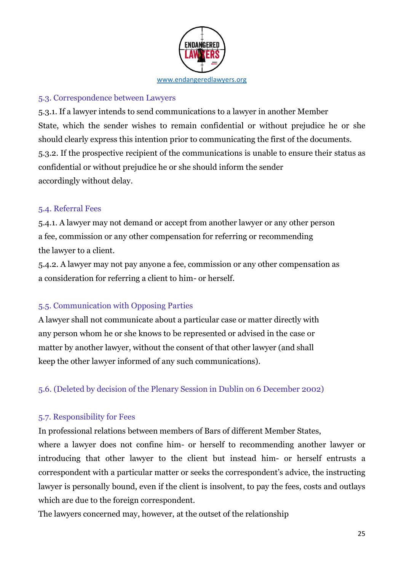

#### 5.3. Correspondence between Lawyers

5.3.1. If a lawyer intends to send communications to a lawyer in another Member State, which the sender wishes to remain confidential or without prejudice he or she should clearly express this intention prior to communicating the first of the documents. 5.3.2. If the prospective recipient of the communications is unable to ensure their status as confidential or without prejudice he or she should inform the sender accordingly without delay.

#### 5.4. Referral Fees

5.4.1. A lawyer may not demand or accept from another lawyer or any other person a fee, commission or any other compensation for referring or recommending the lawyer to a client.

5.4.2. A lawyer may not pay anyone a fee, commission or any other compensation as a consideration for referring a client to him- or herself.

#### 5.5. Communication with Opposing Parties

A lawyer shall not communicate about a particular case or matter directly with any person whom he or she knows to be represented or advised in the case or matter by another lawyer, without the consent of that other lawyer (and shall keep the other lawyer informed of any such communications).

5.6. (Deleted by decision of the Plenary Session in Dublin on 6 December 2002)

#### 5.7. Responsibility for Fees

In professional relations between members of Bars of different Member States,

where a lawyer does not confine him- or herself to recommending another lawyer or introducing that other lawyer to the client but instead him- or herself entrusts a correspondent with a particular matter or seeks the correspondent's advice, the instructing lawyer is personally bound, even if the client is insolvent, to pay the fees, costs and outlays which are due to the foreign correspondent.

The lawyers concerned may, however, at the outset of the relationship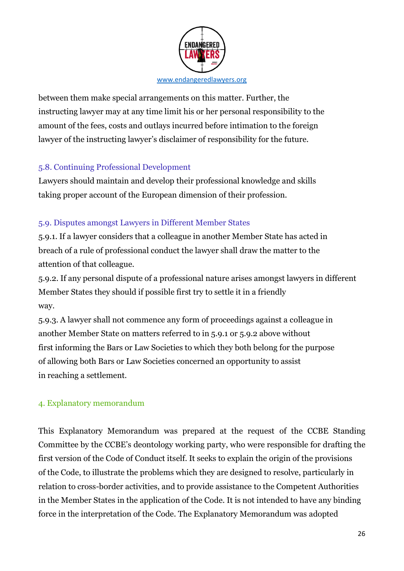

between them make special arrangements on this matter. Further, the instructing lawyer may at any time limit his or her personal responsibility to the amount of the fees, costs and outlays incurred before intimation to the foreign lawyer of the instructing lawyer's disclaimer of responsibility for the future.

#### 5.8. Continuing Professional Development

Lawyers should maintain and develop their professional knowledge and skills taking proper account of the European dimension of their profession.

## 5.9. Disputes amongst Lawyers in Different Member States

5.9.1. If a lawyer considers that a colleague in another Member State has acted in breach of a rule of professional conduct the lawyer shall draw the matter to the attention of that colleague.

5.9.2. If any personal dispute of a professional nature arises amongst lawyers in different Member States they should if possible first try to settle it in a friendly way.

5.9.3. A lawyer shall not commence any form of proceedings against a colleague in another Member State on matters referred to in 5.9.1 or 5.9.2 above without first informing the Bars or Law Societies to which they both belong for the purpose of allowing both Bars or Law Societies concerned an opportunity to assist in reaching a settlement.

## 4. Explanatory memorandum

This Explanatory Memorandum was prepared at the request of the CCBE Standing Committee by the CCBE's deontology working party, who were responsible for drafting the first version of the Code of Conduct itself. It seeks to explain the origin of the provisions of the Code, to illustrate the problems which they are designed to resolve, particularly in relation to cross-border activities, and to provide assistance to the Competent Authorities in the Member States in the application of the Code. It is not intended to have any binding force in the interpretation of the Code. The Explanatory Memorandum was adopted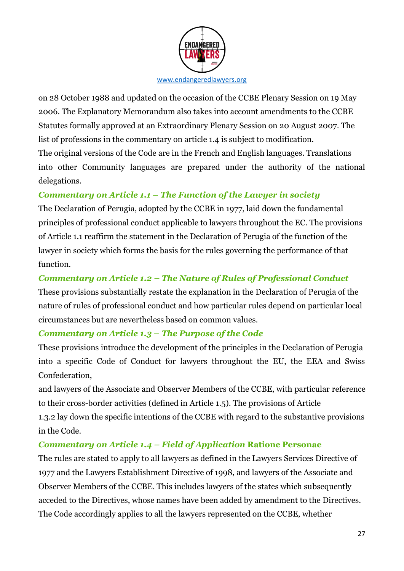

on 28 October 1988 and updated on the occasion of the CCBE Plenary Session on 19 May 2006. The Explanatory Memorandum also takes into account amendments to the CCBE Statutes formally approved at an Extraordinary Plenary Session on 20 August 2007. The list of professions in the commentary on article 1.4 is subject to modification. The original versions of the Code are in the French and English languages. Translations into other Community languages are prepared under the authority of the national delegations.

## *Commentary on Article 1.1 – The Function of the Lawyer in society*

The Declaration of Perugia, adopted by the CCBE in 1977, laid down the fundamental principles of professional conduct applicable to lawyers throughout the EC. The provisions of Article 1.1 reaffirm the statement in the Declaration of Perugia of the function of the lawyer in society which forms the basis for the rules governing the performance of that function.

#### *Commentary on Article 1.2 – The Nature of Rules of Professional Conduct*

These provisions substantially restate the explanation in the Declaration of Perugia of the nature of rules of professional conduct and how particular rules depend on particular local circumstances but are nevertheless based on common values.

#### *Commentary on Article 1.3 – The Purpose of the Code*

These provisions introduce the development of the principles in the Declaration of Perugia into a specific Code of Conduct for lawyers throughout the EU, the EEA and Swiss Confederation,

and lawyers of the Associate and Observer Members of the CCBE, with particular reference to their cross-border activities (defined in Article 1.5). The provisions of Article 1.3.2 lay down the specific intentions of the CCBE with regard to the substantive provisions in the Code.

#### *Commentary on Article 1.4 – Field of Application* **Ratione Personae**

The rules are stated to apply to all lawyers as defined in the Lawyers Services Directive of 1977 and the Lawyers Establishment Directive of 1998, and lawyers of the Associate and Observer Members of the CCBE. This includes lawyers of the states which subsequently acceded to the Directives, whose names have been added by amendment to the Directives. The Code accordingly applies to all the lawyers represented on the CCBE, whether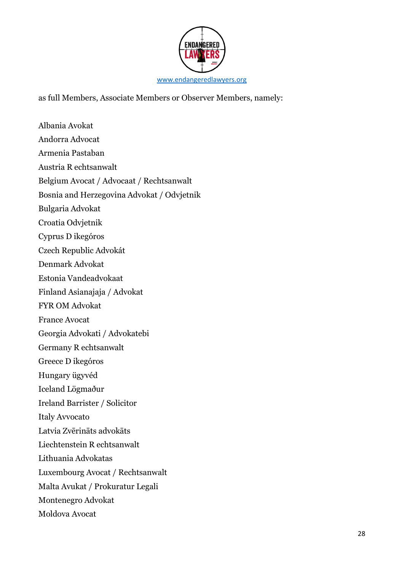

as full Members, Associate Members or Observer Members, namely:

Albania Avokat Andorra Advocat Armenia Pastaban Austria R echtsanwalt Belgium Avocat / Advocaat / Rechtsanwalt Bosnia and Herzegovina Advokat / Odvjetnik Bulgaria Advokat Croatia Odvjetnik Cyprus D ikegóros Czech Republic Advokát Denmark Advokat Estonia Vandeadvokaat Finland Asianajaja / Advokat FYR OM Advokat France Avocat Georgia Advokati / Advokatebi Germany R echtsanwalt Greece D ikegóros Hungary ügyvéd Iceland Lögmaður Ireland Barrister / Solicitor Italy Avvocato Latvia Zvērināts advokāts Liechtenstein R echtsanwalt Lithuania Advokatas Luxembourg Avocat / Rechtsanwalt Malta Avukat / Prokuratur Legali Montenegro Advokat Moldova Avocat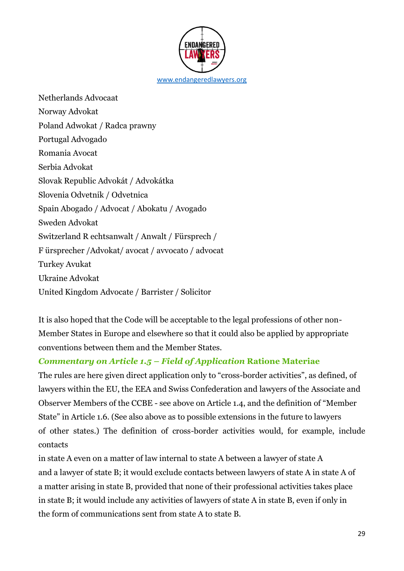

Netherlands Advocaat Norway Advokat Poland Adwokat / Radca prawny Portugal Advogado Romania Avocat Serbia Advokat Slovak Republic Advokát / Advokátka Slovenia Odvetnik / Odvetnica Spain Abogado / Advocat / Abokatu / Avogado Sweden Advokat Switzerland R echtsanwalt / Anwalt / Fürsprech / F ürsprecher /Advokat/ avocat / avvocato / advocat Turkey Avukat Ukraine Advokat United Kingdom Advocate / Barrister / Solicitor

It is also hoped that the Code will be acceptable to the legal professions of other non-Member States in Europe and elsewhere so that it could also be applied by appropriate conventions between them and the Member States.

#### *Commentary on Article 1.5 – Field of Application* **Ratione Materiae**

The rules are here given direct application only to "cross-border activities", as defined, of lawyers within the EU, the EEA and Swiss Confederation and lawyers of the Associate and Observer Members of the CCBE - see above on Article 1.4, and the definition of "Member State" in Article 1.6. (See also above as to possible extensions in the future to lawyers of other states.) The definition of cross-border activities would, for example, include contacts

in state A even on a matter of law internal to state A between a lawyer of state A and a lawyer of state B; it would exclude contacts between lawyers of state A in state A of a matter arising in state B, provided that none of their professional activities takes place in state B; it would include any activities of lawyers of state A in state B, even if only in the form of communications sent from state A to state B.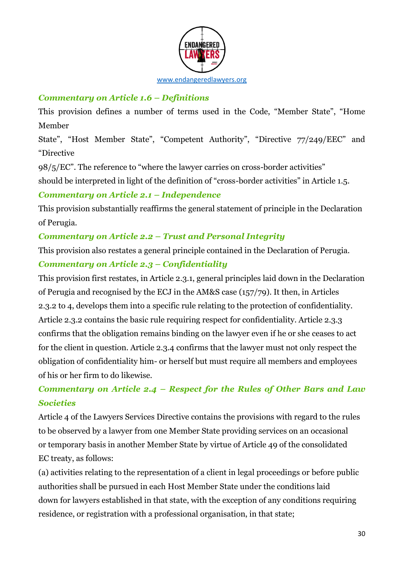

## *Commentary on Article 1.6 – Definitions*

This provision defines a number of terms used in the Code, "Member State", "Home Member

State", "Host Member State", "Competent Authority", "Directive 77/249/EEC" and "Directive

98/5/EC". The reference to "where the lawyer carries on cross-border activities"

should be interpreted in light of the definition of "cross-border activities" in Article 1.5.

#### *Commentary on Article 2.1 – Independence*

This provision substantially reaffirms the general statement of principle in the Declaration of Perugia.

#### *Commentary on Article 2.2 – Trust and Personal Integrity*

This provision also restates a general principle contained in the Declaration of Perugia.

#### *Commentary on Article 2.3 – Confidentiality*

This provision first restates, in Article 2.3.1, general principles laid down in the Declaration of Perugia and recognised by the ECJ in the AM&S case (157/79). It then, in Articles 2.3.2 to 4, develops them into a specific rule relating to the protection of confidentiality. Article 2.3.2 contains the basic rule requiring respect for confidentiality. Article 2.3.3 confirms that the obligation remains binding on the lawyer even if he or she ceases to act for the client in question. Article 2.3.4 confirms that the lawyer must not only respect the obligation of confidentiality him- or herself but must require all members and employees of his or her firm to do likewise.

## *Commentary on Article 2.4 – Respect for the Rules of Other Bars and Law Societies*

Article 4 of the Lawyers Services Directive contains the provisions with regard to the rules to be observed by a lawyer from one Member State providing services on an occasional or temporary basis in another Member State by virtue of Article 49 of the consolidated EC treaty, as follows:

(a) activities relating to the representation of a client in legal proceedings or before public authorities shall be pursued in each Host Member State under the conditions laid down for lawyers established in that state, with the exception of any conditions requiring residence, or registration with a professional organisation, in that state;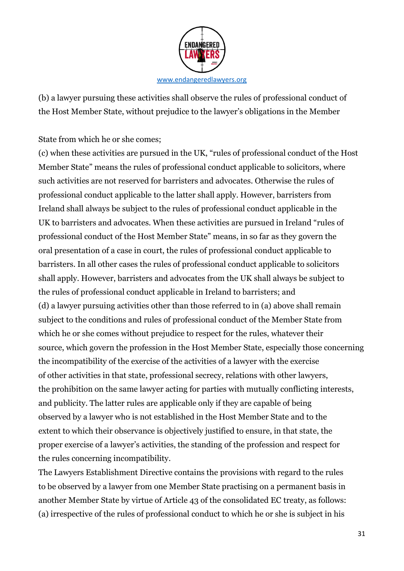

(b) a lawyer pursuing these activities shall observe the rules of professional conduct of the Host Member State, without prejudice to the lawyer's obligations in the Member

State from which he or she comes;

(c) when these activities are pursued in the UK, "rules of professional conduct of the Host Member State" means the rules of professional conduct applicable to solicitors, where such activities are not reserved for barristers and advocates. Otherwise the rules of professional conduct applicable to the latter shall apply. However, barristers from Ireland shall always be subject to the rules of professional conduct applicable in the UK to barristers and advocates. When these activities are pursued in Ireland "rules of professional conduct of the Host Member State" means, in so far as they govern the oral presentation of a case in court, the rules of professional conduct applicable to barristers. In all other cases the rules of professional conduct applicable to solicitors shall apply. However, barristers and advocates from the UK shall always be subject to the rules of professional conduct applicable in Ireland to barristers; and (d) a lawyer pursuing activities other than those referred to in (a) above shall remain subject to the conditions and rules of professional conduct of the Member State from which he or she comes without prejudice to respect for the rules, whatever their source, which govern the profession in the Host Member State, especially those concerning the incompatibility of the exercise of the activities of a lawyer with the exercise of other activities in that state, professional secrecy, relations with other lawyers, the prohibition on the same lawyer acting for parties with mutually conflicting interests, and publicity. The latter rules are applicable only if they are capable of being observed by a lawyer who is not established in the Host Member State and to the extent to which their observance is objectively justified to ensure, in that state, the proper exercise of a lawyer's activities, the standing of the profession and respect for the rules concerning incompatibility.

The Lawyers Establishment Directive contains the provisions with regard to the rules to be observed by a lawyer from one Member State practising on a permanent basis in another Member State by virtue of Article 43 of the consolidated EC treaty, as follows: (a) irrespective of the rules of professional conduct to which he or she is subject in his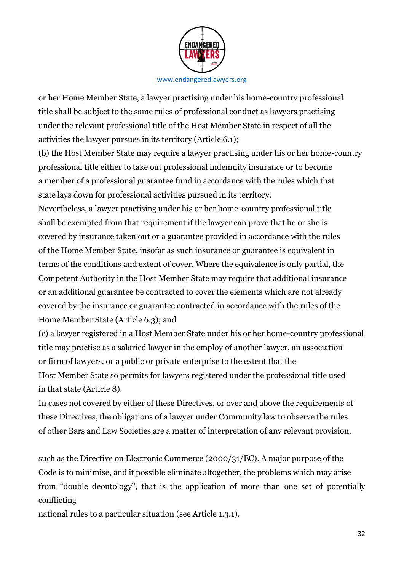

or her Home Member State, a lawyer practising under his home-country professional title shall be subject to the same rules of professional conduct as lawyers practising under the relevant professional title of the Host Member State in respect of all the activities the lawyer pursues in its territory (Article 6.1);

(b) the Host Member State may require a lawyer practising under his or her home-country professional title either to take out professional indemnity insurance or to become a member of a professional guarantee fund in accordance with the rules which that state lays down for professional activities pursued in its territory.

Nevertheless, a lawyer practising under his or her home-country professional title shall be exempted from that requirement if the lawyer can prove that he or she is covered by insurance taken out or a guarantee provided in accordance with the rules of the Home Member State, insofar as such insurance or guarantee is equivalent in terms of the conditions and extent of cover. Where the equivalence is only partial, the Competent Authority in the Host Member State may require that additional insurance or an additional guarantee be contracted to cover the elements which are not already covered by the insurance or guarantee contracted in accordance with the rules of the Home Member State (Article 6.3); and

(c) a lawyer registered in a Host Member State under his or her home-country professional title may practise as a salaried lawyer in the employ of another lawyer, an association or firm of lawyers, or a public or private enterprise to the extent that the Host Member State so permits for lawyers registered under the professional title used in that state (Article 8).

In cases not covered by either of these Directives, or over and above the requirements of these Directives, the obligations of a lawyer under Community law to observe the rules of other Bars and Law Societies are a matter of interpretation of any relevant provision,

such as the Directive on Electronic Commerce (2000/31/EC). A major purpose of the Code is to minimise, and if possible eliminate altogether, the problems which may arise from "double deontology", that is the application of more than one set of potentially conflicting

national rules to a particular situation (see Article 1.3.1).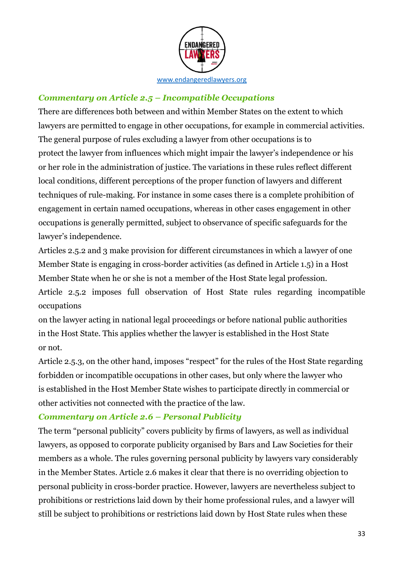

#### *Commentary on Article 2.5 – Incompatible Occupations*

There are differences both between and within Member States on the extent to which lawyers are permitted to engage in other occupations, for example in commercial activities. The general purpose of rules excluding a lawyer from other occupations is to protect the lawyer from influences which might impair the lawyer's independence or his or her role in the administration of justice. The variations in these rules reflect different local conditions, different perceptions of the proper function of lawyers and different techniques of rule-making. For instance in some cases there is a complete prohibition of engagement in certain named occupations, whereas in other cases engagement in other occupations is generally permitted, subject to observance of specific safeguards for the lawyer's independence.

Articles 2.5.2 and 3 make provision for different circumstances in which a lawyer of one Member State is engaging in cross-border activities (as defined in Article 1.5) in a Host Member State when he or she is not a member of the Host State legal profession. Article 2.5.2 imposes full observation of Host State rules regarding incompatible

occupations

on the lawyer acting in national legal proceedings or before national public authorities in the Host State. This applies whether the lawyer is established in the Host State or not.

Article 2.5.3, on the other hand, imposes "respect" for the rules of the Host State regarding forbidden or incompatible occupations in other cases, but only where the lawyer who is established in the Host Member State wishes to participate directly in commercial or other activities not connected with the practice of the law.

#### *Commentary on Article 2.6 – Personal Publicity*

The term "personal publicity" covers publicity by firms of lawyers, as well as individual lawyers, as opposed to corporate publicity organised by Bars and Law Societies for their members as a whole. The rules governing personal publicity by lawyers vary considerably in the Member States. Article 2.6 makes it clear that there is no overriding objection to personal publicity in cross-border practice. However, lawyers are nevertheless subject to prohibitions or restrictions laid down by their home professional rules, and a lawyer will still be subject to prohibitions or restrictions laid down by Host State rules when these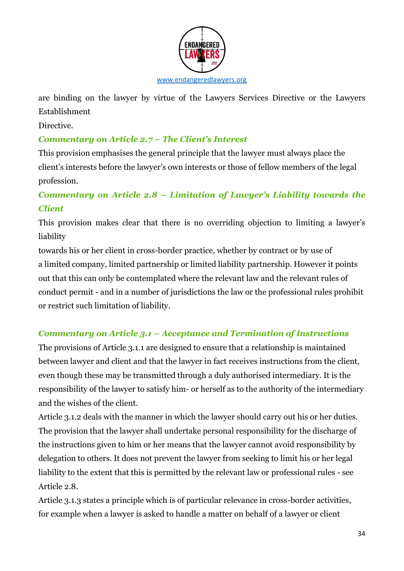

are binding on the lawyer by virtue of the Lawyers Services Directive or the Lawyers Establishment

Directive.

#### *Commentary on Article 2.7 – The Client's Interest*

This provision emphasises the general principle that the lawyer must always place the client's interests before the lawyer's own interests or those of fellow members of the legal profession.

## *Commentary on Article 2.8 – Limitation of Lawyer's Liability towards the Client*

This provision makes clear that there is no overriding objection to limiting a lawyer's liability

towards his or her client in cross-border practice, whether by contract or by use of a limited company, limited partnership or limited liability partnership. However it points out that this can only be contemplated where the relevant law and the relevant rules of conduct permit - and in a number of jurisdictions the law or the professional rules prohibit or restrict such limitation of liability.

#### *Commentary on Article 3.1 – Acceptance and Termination of Instructions*

The provisions of Article 3.1.1 are designed to ensure that a relationship is maintained between lawyer and client and that the lawyer in fact receives instructions from the client, even though these may be transmitted through a duly authorised intermediary. It is the responsibility of the lawyer to satisfy him- or herself as to the authority of the intermediary and the wishes of the client.

Article 3.1.2 deals with the manner in which the lawyer should carry out his or her duties. The provision that the lawyer shall undertake personal responsibility for the discharge of the instructions given to him or her means that the lawyer cannot avoid responsibility by delegation to others. It does not prevent the lawyer from seeking to limit his or her legal liability to the extent that this is permitted by the relevant law or professional rules - see Article 2.8.

Article 3.1.3 states a principle which is of particular relevance in cross-border activities, for example when a lawyer is asked to handle a matter on behalf of a lawyer or client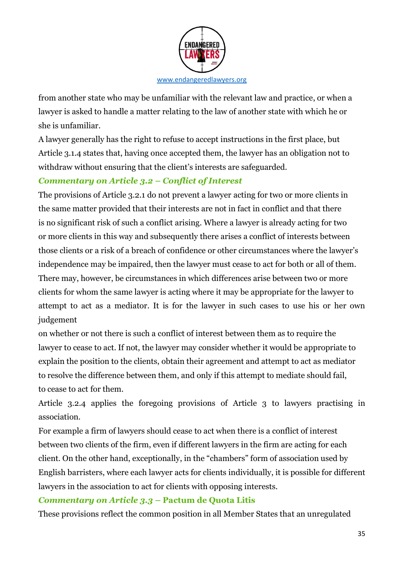

from another state who may be unfamiliar with the relevant law and practice, or when a lawyer is asked to handle a matter relating to the law of another state with which he or she is unfamiliar.

A lawyer generally has the right to refuse to accept instructions in the first place, but Article 3.1.4 states that, having once accepted them, the lawyer has an obligation not to withdraw without ensuring that the client's interests are safeguarded.

## *Commentary on Article 3.2 – Conflict of Interest*

The provisions of Article 3.2.1 do not prevent a lawyer acting for two or more clients in the same matter provided that their interests are not in fact in conflict and that there is no significant risk of such a conflict arising. Where a lawyer is already acting for two or more clients in this way and subsequently there arises a conflict of interests between those clients or a risk of a breach of confidence or other circumstances where the lawyer's independence may be impaired, then the lawyer must cease to act for both or all of them. There may, however, be circumstances in which differences arise between two or more clients for whom the same lawyer is acting where it may be appropriate for the lawyer to attempt to act as a mediator. It is for the lawyer in such cases to use his or her own judgement

on whether or not there is such a conflict of interest between them as to require the lawyer to cease to act. If not, the lawyer may consider whether it would be appropriate to explain the position to the clients, obtain their agreement and attempt to act as mediator to resolve the difference between them, and only if this attempt to mediate should fail, to cease to act for them.

Article 3.2.4 applies the foregoing provisions of Article 3 to lawyers practising in association.

For example a firm of lawyers should cease to act when there is a conflict of interest between two clients of the firm, even if different lawyers in the firm are acting for each client. On the other hand, exceptionally, in the "chambers" form of association used by English barristers, where each lawyer acts for clients individually, it is possible for different lawyers in the association to act for clients with opposing interests.

#### *Commentary on Article 3.3 –* **Pactum de Quota Litis**

These provisions reflect the common position in all Member States that an unregulated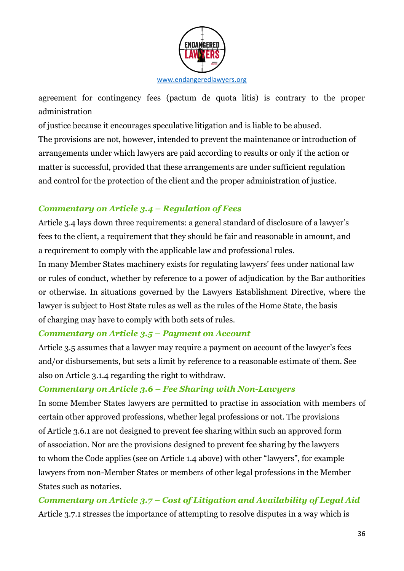

agreement for contingency fees (pactum de quota litis) is contrary to the proper administration

of justice because it encourages speculative litigation and is liable to be abused. The provisions are not, however, intended to prevent the maintenance or introduction of arrangements under which lawyers are paid according to results or only if the action or matter is successful, provided that these arrangements are under sufficient regulation and control for the protection of the client and the proper administration of justice.

#### *Commentary on Article 3.4 – Regulation of Fees*

Article 3.4 lays down three requirements: a general standard of disclosure of a lawyer's fees to the client, a requirement that they should be fair and reasonable in amount, and a requirement to comply with the applicable law and professional rules.

In many Member States machinery exists for regulating lawyers' fees under national law or rules of conduct, whether by reference to a power of adjudication by the Bar authorities or otherwise. In situations governed by the Lawyers Establishment Directive, where the lawyer is subject to Host State rules as well as the rules of the Home State, the basis of charging may have to comply with both sets of rules.

#### *Commentary on Article 3.5 – Payment on Account*

Article 3.5 assumes that a lawyer may require a payment on account of the lawyer's fees and/or disbursements, but sets a limit by reference to a reasonable estimate of them. See also on Article 3.1.4 regarding the right to withdraw.

#### *Commentary on Article 3.6 – Fee Sharing with Non-Lawyers*

In some Member States lawyers are permitted to practise in association with members of certain other approved professions, whether legal professions or not. The provisions of Article 3.6.1 are not designed to prevent fee sharing within such an approved form of association. Nor are the provisions designed to prevent fee sharing by the lawyers to whom the Code applies (see on Article 1.4 above) with other "lawyers", for example lawyers from non-Member States or members of other legal professions in the Member States such as notaries.

*Commentary on Article 3.7 – Cost of Litigation and Availability of Legal Aid* Article 3.7.1 stresses the importance of attempting to resolve disputes in a way which is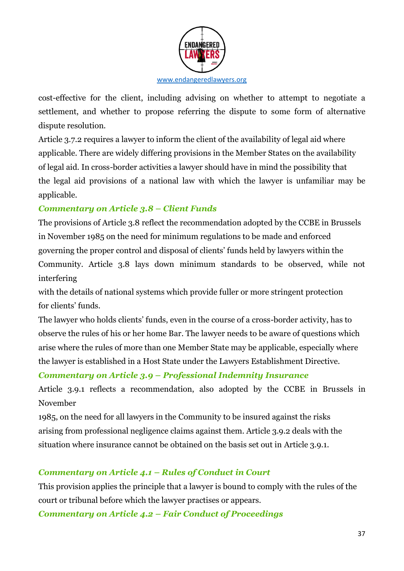

cost-effective for the client, including advising on whether to attempt to negotiate a settlement, and whether to propose referring the dispute to some form of alternative dispute resolution.

Article 3.7.2 requires a lawyer to inform the client of the availability of legal aid where applicable. There are widely differing provisions in the Member States on the availability of legal aid. In cross-border activities a lawyer should have in mind the possibility that the legal aid provisions of a national law with which the lawyer is unfamiliar may be applicable.

#### *Commentary on Article 3.8 – Client Funds*

The provisions of Article 3.8 reflect the recommendation adopted by the CCBE in Brussels in November 1985 on the need for minimum regulations to be made and enforced governing the proper control and disposal of clients' funds held by lawyers within the Community. Article 3.8 lays down minimum standards to be observed, while not interfering

with the details of national systems which provide fuller or more stringent protection for clients' funds.

The lawyer who holds clients' funds, even in the course of a cross-border activity, has to observe the rules of his or her home Bar. The lawyer needs to be aware of questions which arise where the rules of more than one Member State may be applicable, especially where the lawyer is established in a Host State under the Lawyers Establishment Directive.

#### *Commentary on Article 3.9 – Professional Indemnity Insurance*

Article 3.9.1 reflects a recommendation, also adopted by the CCBE in Brussels in November

1985, on the need for all lawyers in the Community to be insured against the risks arising from professional negligence claims against them. Article 3.9.2 deals with the situation where insurance cannot be obtained on the basis set out in Article 3.9.1.

#### *Commentary on Article 4.1 – Rules of Conduct in Court*

This provision applies the principle that a lawyer is bound to comply with the rules of the court or tribunal before which the lawyer practises or appears.

*Commentary on Article 4.2 – Fair Conduct of Proceedings*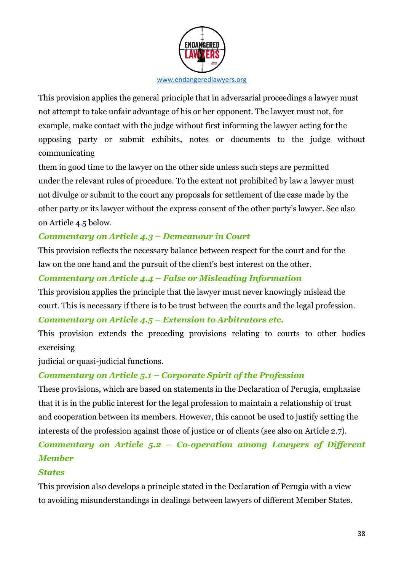

This provision applies the general principle that in adversarial proceedings a lawyer must not attempt to take unfair advantage of his or her opponent. The lawyer must not, for example, make contact with the judge without first informing the lawyer acting for the opposing party or submit exhibits, notes or documents to the judge without communicating

them in good time to the lawyer on the other side unless such steps are permitted under the relevant rules of procedure. To the extent not prohibited by law a lawyer must not divulge or submit to the court any proposals for settlement of the case made by the other party or its lawyer without the express consent of the other party's lawyer. See also on Article 4.5 below.

#### *Commentary on Article 4.3 – Demeanour in Court*

This provision reflects the necessary balance between respect for the court and for the law on the one hand and the pursuit of the client's best interest on the other.

#### *Commentary on Article 4.4 – False or Misleading Information*

This provision applies the principle that the lawyer must never knowingly mislead the court. This is necessary if there is to be trust between the courts and the legal profession.

#### *Commentary on Article 4.5 – Extension to Arbitrators etc.*

This provision extends the preceding provisions relating to courts to other bodies exercising

judicial or quasi-judicial functions.

## *Commentary on Article 5.1 – Corporate Spirit of the Profession*

These provisions, which are based on statements in the Declaration of Perugia, emphasise that it is in the public interest for the legal profession to maintain a relationship of trust and cooperation between its members. However, this cannot be used to justify setting the interests of the profession against those of justice or of clients (see also on Article 2.7).

## *Commentary on Article 5.2 – Co-operation among Lawyers of Different Member*

#### *States*

This provision also develops a principle stated in the Declaration of Perugia with a view to avoiding misunderstandings in dealings between lawyers of different Member States.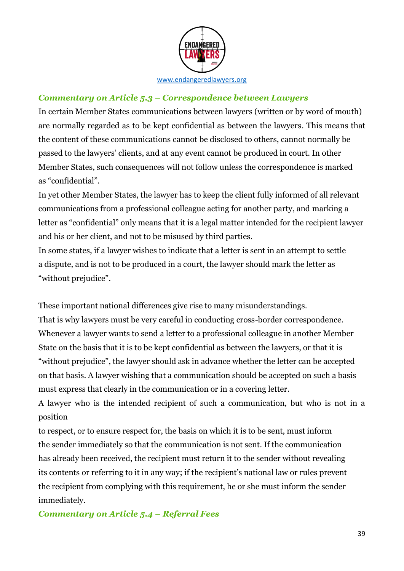

#### *Commentary on Article 5.3 – Correspondence between Lawyers*

In certain Member States communications between lawyers (written or by word of mouth) are normally regarded as to be kept confidential as between the lawyers. This means that the content of these communications cannot be disclosed to others, cannot normally be passed to the lawyers' clients, and at any event cannot be produced in court. In other Member States, such consequences will not follow unless the correspondence is marked as "confidential".

In yet other Member States, the lawyer has to keep the client fully informed of all relevant communications from a professional colleague acting for another party, and marking a letter as "confidential" only means that it is a legal matter intended for the recipient lawyer and his or her client, and not to be misused by third parties.

In some states, if a lawyer wishes to indicate that a letter is sent in an attempt to settle a dispute, and is not to be produced in a court, the lawyer should mark the letter as "without prejudice".

These important national differences give rise to many misunderstandings. That is why lawyers must be very careful in conducting cross-border correspondence. Whenever a lawyer wants to send a letter to a professional colleague in another Member State on the basis that it is to be kept confidential as between the lawyers, or that it is "without prejudice", the lawyer should ask in advance whether the letter can be accepted on that basis. A lawyer wishing that a communication should be accepted on such a basis must express that clearly in the communication or in a covering letter.

A lawyer who is the intended recipient of such a communication, but who is not in a position

to respect, or to ensure respect for, the basis on which it is to be sent, must inform the sender immediately so that the communication is not sent. If the communication has already been received, the recipient must return it to the sender without revealing its contents or referring to it in any way; if the recipient's national law or rules prevent the recipient from complying with this requirement, he or she must inform the sender immediately.

*Commentary on Article 5.4 – Referral Fees*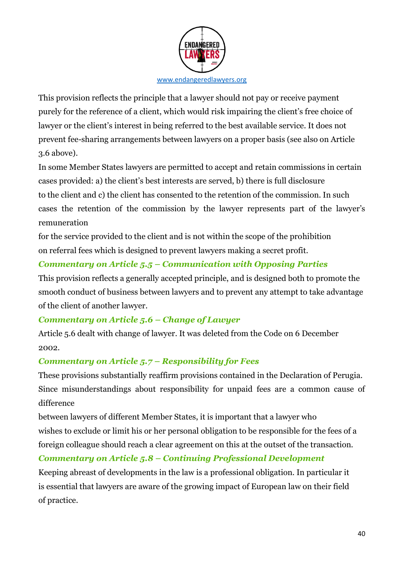

This provision reflects the principle that a lawyer should not pay or receive payment purely for the reference of a client, which would risk impairing the client's free choice of lawyer or the client's interest in being referred to the best available service. It does not prevent fee-sharing arrangements between lawyers on a proper basis (see also on Article 3.6 above).

In some Member States lawyers are permitted to accept and retain commissions in certain cases provided: a) the client's best interests are served, b) there is full disclosure to the client and c) the client has consented to the retention of the commission. In such cases the retention of the commission by the lawyer represents part of the lawyer's remuneration

for the service provided to the client and is not within the scope of the prohibition on referral fees which is designed to prevent lawyers making a secret profit.

#### *Commentary on Article 5.5 – Communication with Opposing Parties*

This provision reflects a generally accepted principle, and is designed both to promote the smooth conduct of business between lawyers and to prevent any attempt to take advantage of the client of another lawyer.

## *Commentary on Article 5.6 – Change of Lawyer*

Article 5.6 dealt with change of lawyer. It was deleted from the Code on 6 December 2002.

#### *Commentary on Article 5.7 – Responsibility for Fees*

These provisions substantially reaffirm provisions contained in the Declaration of Perugia. Since misunderstandings about responsibility for unpaid fees are a common cause of difference

between lawyers of different Member States, it is important that a lawyer who wishes to exclude or limit his or her personal obligation to be responsible for the fees of a foreign colleague should reach a clear agreement on this at the outset of the transaction.

## *Commentary on Article 5.8 – Continuing Professional Development*

Keeping abreast of developments in the law is a professional obligation. In particular it is essential that lawyers are aware of the growing impact of European law on their field of practice.